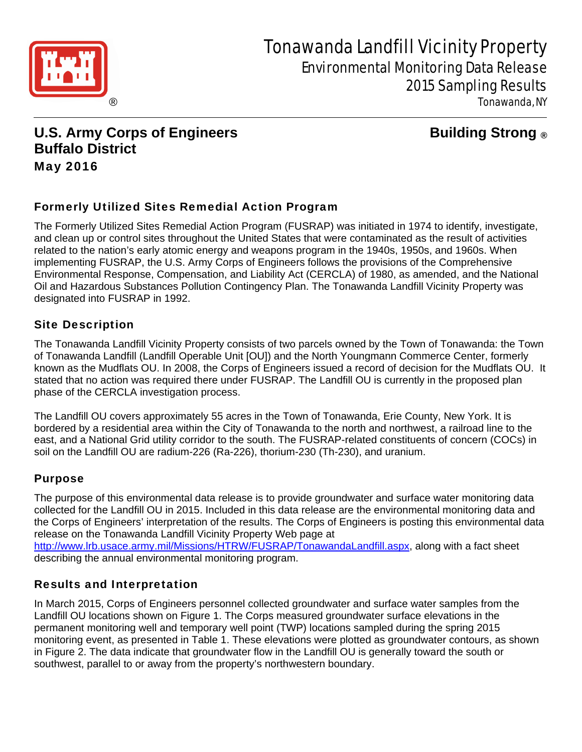

# Tonawanda Landfill Vicinity Property Environmental Monitoring Data Release 2015 Sampling Results

Tonawanda, NY

**U.S. Army Corps of Engineers Constrained Building Strong ® Buffalo District**  May 2016

# Formerly Utilized Sites Remedial Action Program

The Formerly Utilized Sites Remedial Action Program (FUSRAP) was initiated in 1974 to identify, investigate, and clean up or control sites throughout the United States that were contaminated as the result of activities related to the nation's early atomic energy and weapons program in the 1940s, 1950s, and 1960s. When implementing FUSRAP, the U.S. Army Corps of Engineers follows the provisions of the Comprehensive Environmental Response, Compensation, and Liability Act (CERCLA) of 1980, as amended, and the National Oil and Hazardous Substances Pollution Contingency Plan. The Tonawanda Landfill Vicinity Property was designated into FUSRAP in 1992.

# Site Description

The Tonawanda Landfill Vicinity Property consists of two parcels owned by the Town of Tonawanda: the Town of Tonawanda Landfill (Landfill Operable Unit [OU]) and the North Youngmann Commerce Center, formerly known as the Mudflats OU. In 2008, the Corps of Engineers issued a record of decision for the Mudflats OU. It stated that no action was required there under FUSRAP. The Landfill OU is currently in the proposed plan phase of the CERCLA investigation process.

The Landfill OU covers approximately 55 acres in the Town of Tonawanda, Erie County, New York. It is bordered by a residential area within the City of Tonawanda to the north and northwest, a railroad line to the east, and a National Grid utility corridor to the south. The FUSRAP-related constituents of concern (COCs) in soil on the Landfill OU are radium-226 (Ra-226), thorium-230 (Th-230), and uranium.

# Purpose

The purpose of this environmental data release is to provide groundwater and surface water monitoring data collected for the Landfill OU in 2015. Included in this data release are the environmental monitoring data and the Corps of Engineers' interpretation of the results. The Corps of Engineers is posting this environmental data release on the Tonawanda Landfill Vicinity Property Web page at

http://www.lrb.usace.army.mil/Missions/HTRW/FUSRAP/TonawandaLandfill.aspx, along with a fact sheet describing the annual environmental monitoring program.

# Results and Interpretation

In March 2015, Corps of Engineers personnel collected groundwater and surface water samples from the Landfill OU locations shown on Figure 1. The Corps measured groundwater surface elevations in the permanent monitoring well and temporary well point (TWP) locations sampled during the spring 2015 monitoring event, as presented in Table 1. These elevations were plotted as groundwater contours, as shown in Figure 2. The data indicate that groundwater flow in the Landfill OU is generally toward the south or southwest, parallel to or away from the property's northwestern boundary.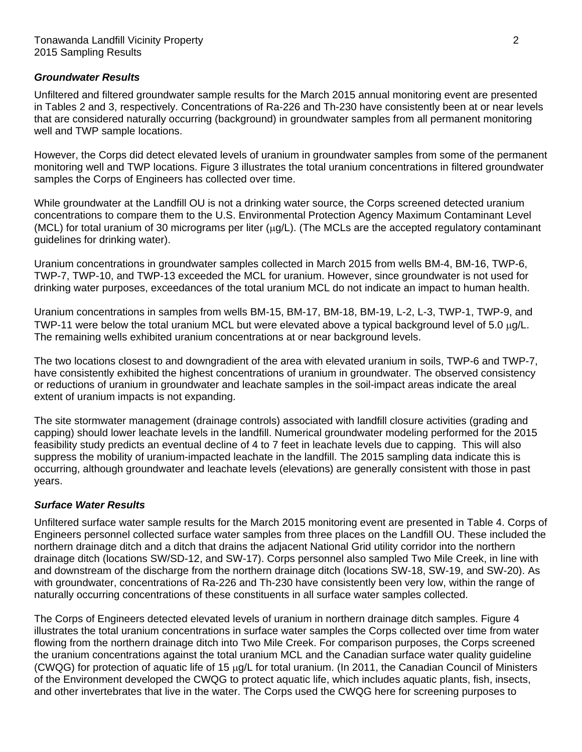#### *Groundwater Results*

Unfiltered and filtered groundwater sample results for the March 2015 annual monitoring event are presented in Tables 2 and 3, respectively. Concentrations of Ra-226 and Th-230 have consistently been at or near levels that are considered naturally occurring (background) in groundwater samples from all permanent monitoring well and TWP sample locations.

However, the Corps did detect elevated levels of uranium in groundwater samples from some of the permanent monitoring well and TWP locations. Figure 3 illustrates the total uranium concentrations in filtered groundwater samples the Corps of Engineers has collected over time.

While groundwater at the Landfill OU is not a drinking water source, the Corps screened detected uranium concentrations to compare them to the U.S. Environmental Protection Agency Maximum Contaminant Level (MCL) for total uranium of 30 micrograms per liter  $(\mu q/L)$ . (The MCLs are the accepted regulatory contaminant guidelines for drinking water).

Uranium concentrations in groundwater samples collected in March 2015 from wells BM-4, BM-16, TWP-6, TWP-7, TWP-10, and TWP-13 exceeded the MCL for uranium. However, since groundwater is not used for drinking water purposes, exceedances of the total uranium MCL do not indicate an impact to human health.

Uranium concentrations in samples from wells BM-15, BM-17, BM-18, BM-19, L-2, L-3, TWP-1, TWP-9, and TWP-11 were below the total uranium MCL but were elevated above a typical background level of 5.0 µg/L. The remaining wells exhibited uranium concentrations at or near background levels.

The two locations closest to and downgradient of the area with elevated uranium in soils, TWP-6 and TWP-7, have consistently exhibited the highest concentrations of uranium in groundwater. The observed consistency or reductions of uranium in groundwater and leachate samples in the soil-impact areas indicate the areal extent of uranium impacts is not expanding.

The site stormwater management (drainage controls) associated with landfill closure activities (grading and capping) should lower leachate levels in the landfill. Numerical groundwater modeling performed for the 2015 feasibility study predicts an eventual decline of 4 to 7 feet in leachate levels due to capping. This will also suppress the mobility of uranium-impacted leachate in the landfill. The 2015 sampling data indicate this is occurring, although groundwater and leachate levels (elevations) are generally consistent with those in past years.

#### *Surface Water Results*

Unfiltered surface water sample results for the March 2015 monitoring event are presented in Table 4. Corps of Engineers personnel collected surface water samples from three places on the Landfill OU. These included the northern drainage ditch and a ditch that drains the adjacent National Grid utility corridor into the northern drainage ditch (locations SW/SD-12, and SW-17). Corps personnel also sampled Two Mile Creek, in line with and downstream of the discharge from the northern drainage ditch (locations SW-18, SW-19, and SW-20). As with groundwater, concentrations of Ra-226 and Th-230 have consistently been very low, within the range of naturally occurring concentrations of these constituents in all surface water samples collected.

The Corps of Engineers detected elevated levels of uranium in northern drainage ditch samples. Figure 4 illustrates the total uranium concentrations in surface water samples the Corps collected over time from water flowing from the northern drainage ditch into Two Mile Creek. For comparison purposes, the Corps screened the uranium concentrations against the total uranium MCL and the Canadian surface water quality guideline (CWQG) for protection of aquatic life of 15  $\mu$ g/L for total uranium. (In 2011, the Canadian Council of Ministers of the Environment developed the CWQG to protect aquatic life, which includes aquatic plants, fish, insects, and other invertebrates that live in the water. The Corps used the CWQG here for screening purposes to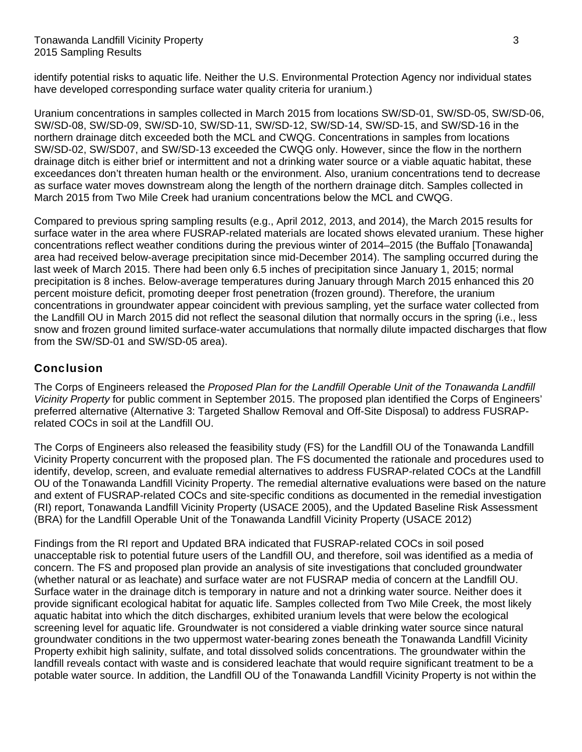identify potential risks to aquatic life. Neither the U.S. Environmental Protection Agency nor individual states have developed corresponding surface water quality criteria for uranium.)

Uranium concentrations in samples collected in March 2015 from locations SW/SD-01, SW/SD-05, SW/SD-06, SW/SD-08, SW/SD-09, SW/SD-10, SW/SD-11, SW/SD-12, SW/SD-14, SW/SD-15, and SW/SD-16 in the northern drainage ditch exceeded both the MCL and CWQG. Concentrations in samples from locations SW/SD-02, SW/SD07, and SW/SD-13 exceeded the CWQG only. However, since the flow in the northern drainage ditch is either brief or intermittent and not a drinking water source or a viable aquatic habitat, these exceedances don't threaten human health or the environment. Also, uranium concentrations tend to decrease as surface water moves downstream along the length of the northern drainage ditch. Samples collected in March 2015 from Two Mile Creek had uranium concentrations below the MCL and CWQG.

Compared to previous spring sampling results (e.g., April 2012, 2013, and 2014), the March 2015 results for surface water in the area where FUSRAP-related materials are located shows elevated uranium. These higher concentrations reflect weather conditions during the previous winter of 2014–2015 (the Buffalo [Tonawanda] area had received below-average precipitation since mid-December 2014). The sampling occurred during the last week of March 2015. There had been only 6.5 inches of precipitation since January 1, 2015; normal precipitation is 8 inches. Below-average temperatures during January through March 2015 enhanced this 20 percent moisture deficit, promoting deeper frost penetration (frozen ground). Therefore, the uranium concentrations in groundwater appear coincident with previous sampling, yet the surface water collected from the Landfill OU in March 2015 did not reflect the seasonal dilution that normally occurs in the spring (i.e., less snow and frozen ground limited surface-water accumulations that normally dilute impacted discharges that flow from the SW/SD-01 and SW/SD-05 area).

# Conclusion

The Corps of Engineers released the *Proposed Plan for the Landfill Operable Unit of the Tonawanda Landfill Vicinity Property* for public comment in September 2015. The proposed plan identified the Corps of Engineers' preferred alternative (Alternative 3: Targeted Shallow Removal and Off-Site Disposal) to address FUSRAPrelated COCs in soil at the Landfill OU.

The Corps of Engineers also released the feasibility study (FS) for the Landfill OU of the Tonawanda Landfill Vicinity Property concurrent with the proposed plan. The FS documented the rationale and procedures used to identify, develop, screen, and evaluate remedial alternatives to address FUSRAP-related COCs at the Landfill OU of the Tonawanda Landfill Vicinity Property. The remedial alternative evaluations were based on the nature and extent of FUSRAP-related COCs and site-specific conditions as documented in the remedial investigation (RI) report, Tonawanda Landfill Vicinity Property (USACE 2005), and the Updated Baseline Risk Assessment (BRA) for the Landfill Operable Unit of the Tonawanda Landfill Vicinity Property (USACE 2012)

Findings from the RI report and Updated BRA indicated that FUSRAP-related COCs in soil posed unacceptable risk to potential future users of the Landfill OU, and therefore, soil was identified as a media of concern. The FS and proposed plan provide an analysis of site investigations that concluded groundwater (whether natural or as leachate) and surface water are not FUSRAP media of concern at the Landfill OU. Surface water in the drainage ditch is temporary in nature and not a drinking water source. Neither does it provide significant ecological habitat for aquatic life. Samples collected from Two Mile Creek, the most likely aquatic habitat into which the ditch discharges, exhibited uranium levels that were below the ecological screening level for aquatic life. Groundwater is not considered a viable drinking water source since natural groundwater conditions in the two uppermost water-bearing zones beneath the Tonawanda Landfill Vicinity Property exhibit high salinity, sulfate, and total dissolved solids concentrations. The groundwater within the landfill reveals contact with waste and is considered leachate that would require significant treatment to be a potable water source. In addition, the Landfill OU of the Tonawanda Landfill Vicinity Property is not within the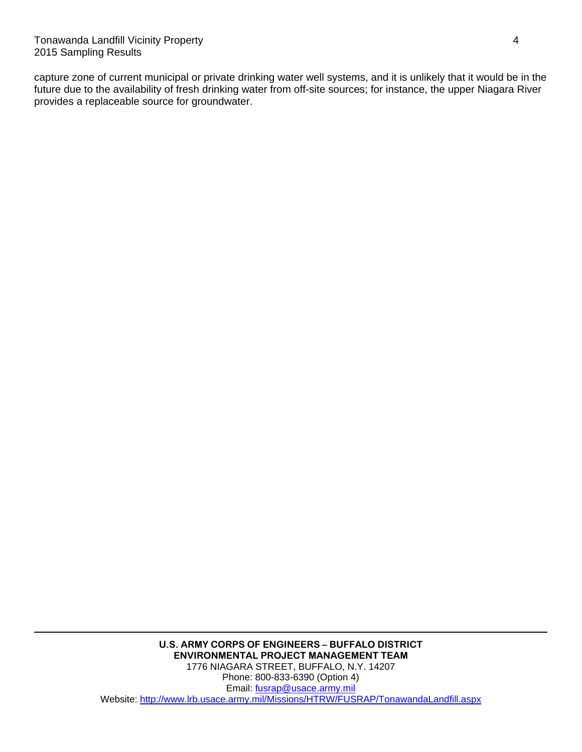capture zone of current municipal or private drinking water well systems, and it is unlikely that it would be in the future due to the availability of fresh drinking water from off-site sources; for instance, the upper Niagara River provides a replaceable source for groundwater.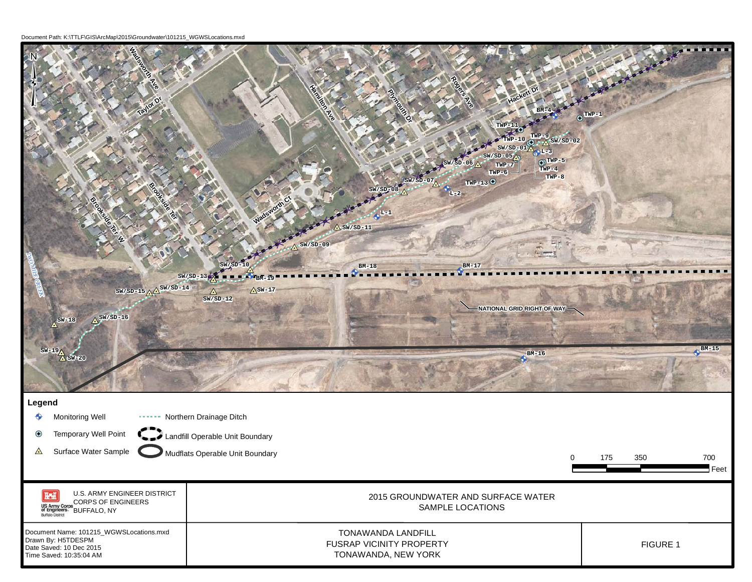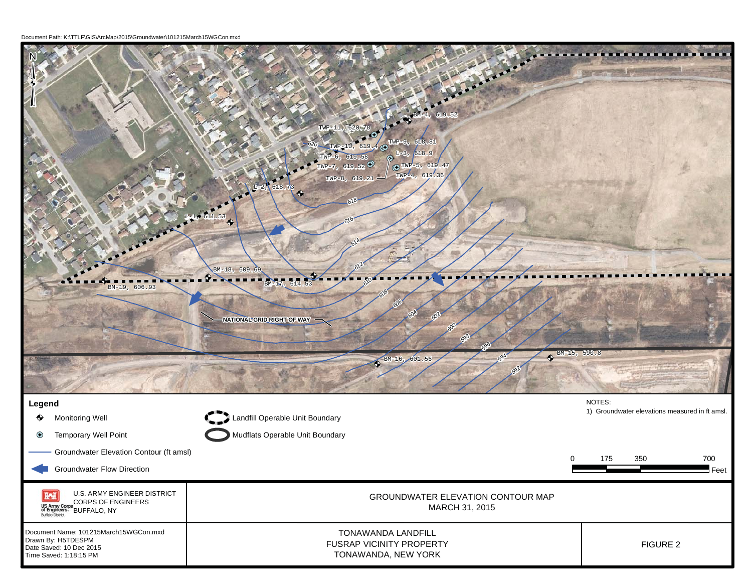Document Path: K:\TTLF\GIS\ArcMap\2015\Groundwater\101215March15WGCon.mxd

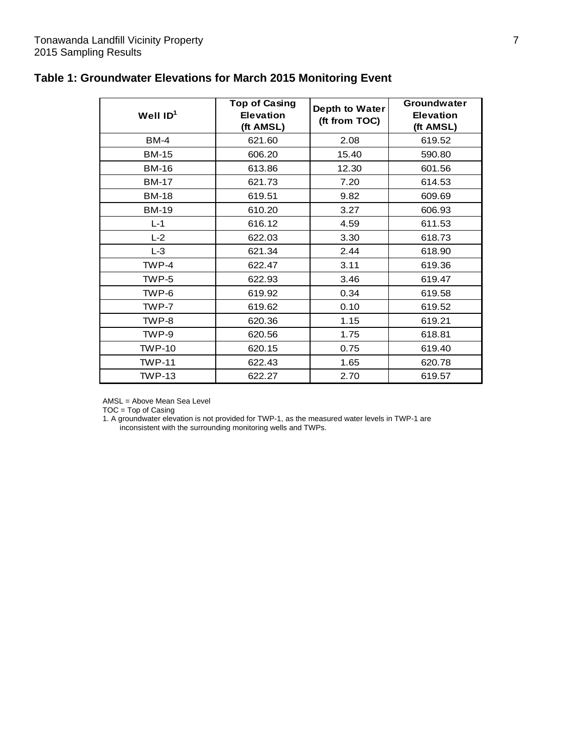| Well $ID1$    | <b>Top of Casing</b><br><b>Elevation</b><br>(ft AMSL) | Depth to Water<br>(ft from TOC) | Groundwater<br><b>Elevation</b><br>(ft AMSL) |
|---------------|-------------------------------------------------------|---------------------------------|----------------------------------------------|
| <b>BM-4</b>   | 621.60                                                | 2.08                            | 619.52                                       |
| <b>BM-15</b>  | 606.20                                                | 15.40                           | 590.80                                       |
| <b>BM-16</b>  | 613.86                                                | 12.30                           | 601.56                                       |
| <b>BM-17</b>  | 621.73                                                | 7.20                            | 614.53                                       |
| <b>BM-18</b>  | 619.51                                                | 9.82                            | 609.69                                       |
| <b>BM-19</b>  | 610.20                                                | 3.27                            | 606.93                                       |
| $L-1$         | 616.12                                                | 4.59                            | 611.53                                       |
| $L-2$         | 622.03                                                | 3.30                            | 618.73                                       |
| $L-3$         | 621.34                                                | 2.44                            | 618.90                                       |
| TWP-4         | 622.47                                                | 3.11                            | 619.36                                       |
| TWP-5         | 622.93                                                | 3.46                            | 619.47                                       |
| TWP-6         | 619.92                                                | 0.34                            | 619.58                                       |
| TWP-7         | 619.62                                                | 0.10                            | 619.52                                       |
| TWP-8         | 620.36                                                | 1.15                            | 619.21                                       |
| TWP-9         | 620.56                                                | 1.75                            | 618.81                                       |
| <b>TWP-10</b> | 620.15                                                | 0.75                            | 619.40                                       |
| <b>TWP-11</b> | 622.43                                                | 1.65                            | 620.78                                       |
| <b>TWP-13</b> | 622.27                                                | 2.70                            | 619.57                                       |

# **Table 1: Groundwater Elevations for March 2015 Monitoring Event**

AMSL = Above Mean Sea Level

TOC = Top of Casing

1. A groundwater elevation is not provided for TWP-1, as the measured water levels in TWP-1 are inconsistent with the surrounding monitoring wells and TWPs.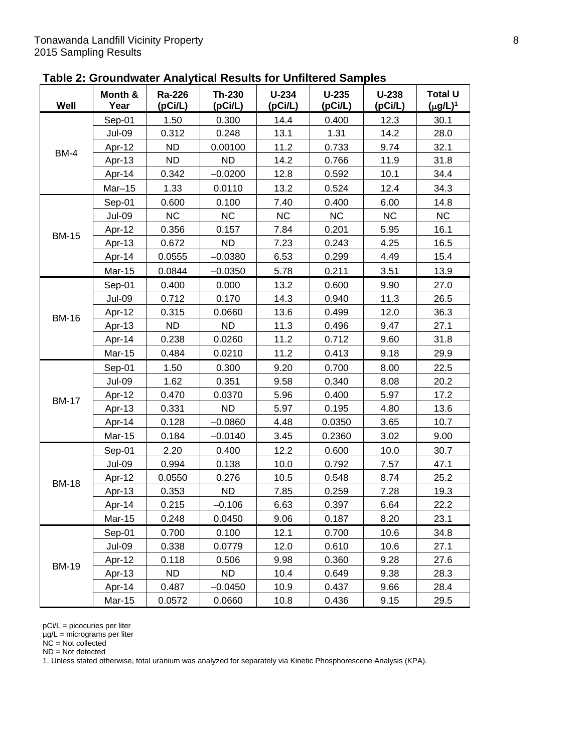| Table 2: Groundwater Analytical Results for Unfiltered Samples |  |  |
|----------------------------------------------------------------|--|--|
|----------------------------------------------------------------|--|--|

| Well         | Month &<br>Year | Ra-226<br>(pCi/L) | Th-230<br>(pCi/L) | $U-234$<br>(pCi/L) | $U-235$<br>(pCi/L) | $U-238$<br>(pCi/L) | <b>Total U</b><br>$(\mu g/L)^1$ |
|--------------|-----------------|-------------------|-------------------|--------------------|--------------------|--------------------|---------------------------------|
|              | Sep-01          | 1.50              | 0.300             | 14.4               | 0.400              | 12.3               | 30.1                            |
|              | <b>Jul-09</b>   | 0.312             | 0.248             | 13.1               | 1.31               | 14.2               | 28.0                            |
| <b>BM-4</b>  | Apr-12          | <b>ND</b>         | 0.00100           | 11.2               | 0.733              | 9.74               | 32.1                            |
|              | Apr-13          | <b>ND</b>         | <b>ND</b>         | 14.2               | 0.766              | 11.9               | 31.8                            |
|              | Apr-14          | 0.342             | $-0.0200$         | 12.8               | 0.592              | 10.1               | 34.4                            |
|              | $Mar-15$        | 1.33              | 0.0110            | 13.2               | 0.524              | 12.4               | 34.3                            |
|              | Sep-01          | 0.600             | 0.100             | 7.40               | 0.400              | 6.00               | 14.8                            |
|              | <b>Jul-09</b>   | <b>NC</b>         | <b>NC</b>         | <b>NC</b>          | <b>NC</b>          | <b>NC</b>          | <b>NC</b>                       |
| <b>BM-15</b> | Apr-12          | 0.356             | 0.157             | 7.84               | 0.201              | 5.95               | 16.1                            |
|              | Apr-13          | 0.672             | <b>ND</b>         | 7.23               | 0.243              | 4.25               | 16.5                            |
|              | Apr-14          | 0.0555            | $-0.0380$         | 6.53               | 0.299              | 4.49               | 15.4                            |
|              | <b>Mar-15</b>   | 0.0844            | $-0.0350$         | 5.78               | 0.211              | 3.51               | 13.9                            |
|              | Sep-01          | 0.400             | 0.000             | 13.2               | 0.600              | 9.90               | 27.0                            |
|              | <b>Jul-09</b>   | 0.712             | 0.170             | 14.3               | 0.940              | 11.3               | 26.5                            |
|              | Apr-12          | 0.315             | 0.0660            | 13.6               | 0.499              | 12.0               | 36.3                            |
| <b>BM-16</b> | Apr-13          | <b>ND</b>         | <b>ND</b>         | 11.3               | 0.496              | 9.47               | 27.1                            |
|              | Apr-14          | 0.238             | 0.0260            | 11.2               | 0.712              | 9.60               | 31.8                            |
|              | <b>Mar-15</b>   | 0.484             | 0.0210            | 11.2               | 0.413              | 9.18               | 29.9                            |
|              | Sep-01          | 1.50              | 0.300             | 9.20               | 0.700              | 8.00               | 22.5                            |
|              | <b>Jul-09</b>   | 1.62              | 0.351             | 9.58               | 0.340              | 8.08               | 20.2                            |
|              | Apr-12          | 0.470             | 0.0370            | 5.96               | 0.400              | 5.97               | 17.2                            |
| <b>BM-17</b> | Apr-13          | 0.331             | <b>ND</b>         | 5.97               | 0.195              | 4.80               | 13.6                            |
|              | Apr-14          | 0.128             | $-0.0860$         | 4.48               | 0.0350             | 3.65               | 10.7                            |
|              | <b>Mar-15</b>   | 0.184             | $-0.0140$         | 3.45               | 0.2360             | 3.02               | 9.00                            |
|              | Sep-01          | 2.20              | 0.400             | 12.2               | 0.600              | 10.0               | 30.7                            |
|              | <b>Jul-09</b>   | 0.994             | 0.138             | 10.0               | 0.792              | 7.57               | 47.1                            |
| <b>BM-18</b> | Apr-12          | 0.0550            | 0.276             | 10.5               | 0.548              | 8.74               | 25.2                            |
|              | Apr-13          | 0.353             | <b>ND</b>         | 7.85               | 0.259              | 7.28               | 19.3                            |
|              | Apr-14          | 0.215             | $-0.106$          | 6.63               | 0.397              | 6.64               | 22.2                            |
|              | <b>Mar-15</b>   | 0.248             | 0.0450            | 9.06               | 0.187              | 8.20               | 23.1                            |
|              | Sep-01          | 0.700             | 0.100             | 12.1               | 0.700              | 10.6               | 34.8                            |
|              | <b>Jul-09</b>   | 0.338             | 0.0779            | 12.0               | 0.610              | 10.6               | 27.1                            |
| <b>BM-19</b> | Apr-12          | 0.118             | 0.506             | 9.98               | 0.360              | 9.28               | 27.6                            |
|              | Apr-13          | ND.               | <b>ND</b>         | 10.4               | 0.649              | 9.38               | 28.3                            |
|              | Apr-14          | 0.487             | $-0.0450$         | 10.9               | 0.437              | 9.66               | 28.4                            |
|              | Mar-15          | 0.0572            | 0.0660            | 10.8               | 0.436              | 9.15               | 29.5                            |

µg/L = micrograms per liter

NC = Not collected

ND = Not detected

1. Unless stated otherwise, total uranium was analyzed for separately via Kinetic Phosphorescene Analysis (KPA).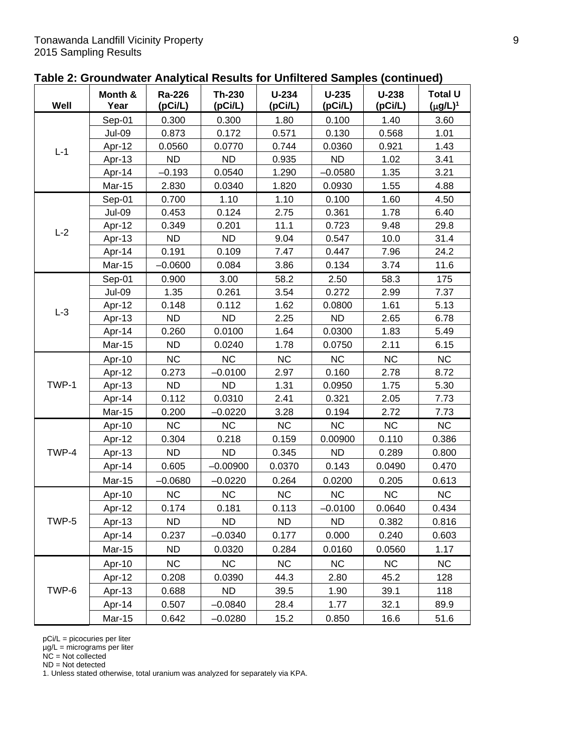| Table 2: Groundwater Analytical Results for Unfiltered Samples (continued) |  |
|----------------------------------------------------------------------------|--|
|----------------------------------------------------------------------------|--|

| Well  | Month &<br>Year | <b>Ra-226</b><br>(pCi/L) | Th-230<br>(pCi/L) | $U-234$<br>(pCi/L) | $U-235$<br>(pCi/L) | $U-238$<br>(pCi/L) | <b>Total U</b><br>$(\mu g/L)^1$ |
|-------|-----------------|--------------------------|-------------------|--------------------|--------------------|--------------------|---------------------------------|
|       | Sep-01          | 0.300                    | 0.300             | 1.80               | 0.100              | 1.40               | 3.60                            |
|       | <b>Jul-09</b>   | 0.873                    | 0.172             | 0.571              | 0.130              | 0.568              | 1.01                            |
| $L-1$ | Apr-12          | 0.0560                   | 0.0770            | 0.744              | 0.0360             | 0.921              | 1.43                            |
|       | Apr-13          | <b>ND</b>                | <b>ND</b>         | 0.935              | <b>ND</b>          | 1.02               | 3.41                            |
|       | Apr-14          | $-0.193$                 | 0.0540            | 1.290              | $-0.0580$          | 1.35               | 3.21                            |
|       | <b>Mar-15</b>   | 2.830                    | 0.0340            | 1.820              | 0.0930             | 1.55               | 4.88                            |
|       | Sep-01          | 0.700                    | 1.10              | 1.10               | 0.100              | 1.60               | 4.50                            |
|       | <b>Jul-09</b>   | 0.453                    | 0.124             | 2.75               | 0.361              | 1.78               | 6.40                            |
| $L-2$ | Apr-12          | 0.349                    | 0.201             | 11.1               | 0.723              | 9.48               | 29.8                            |
|       | Apr-13          | <b>ND</b>                | <b>ND</b>         | 9.04               | 0.547              | 10.0               | 31.4                            |
|       | Apr-14          | 0.191                    | 0.109             | 7.47               | 0.447              | 7.96               | 24.2                            |
|       | <b>Mar-15</b>   | $-0.0600$                | 0.084             | 3.86               | 0.134              | 3.74               | 11.6                            |
|       | Sep-01          | 0.900                    | 3.00              | 58.2               | 2.50               | 58.3               | 175                             |
|       | <b>Jul-09</b>   | 1.35                     | 0.261             | 3.54               | 0.272              | 2.99               | 7.37                            |
| $L-3$ | Apr-12          | 0.148                    | 0.112             | 1.62               | 0.0800             | 1.61               | 5.13                            |
|       | Apr-13          | <b>ND</b>                | <b>ND</b>         | 2.25               | <b>ND</b>          | 2.65               | 6.78                            |
|       | Apr-14          | 0.260                    | 0.0100            | 1.64               | 0.0300             | 1.83               | 5.49                            |
|       | Mar-15          | <b>ND</b>                | 0.0240            | 1.78               | 0.0750             | 2.11               | 6.15                            |
|       | Apr-10          | <b>NC</b>                | <b>NC</b>         | <b>NC</b>          | <b>NC</b>          | <b>NC</b>          | <b>NC</b>                       |
|       | Apr-12          | 0.273                    | $-0.0100$         | 2.97               | 0.160              | 2.78               | 8.72                            |
| TWP-1 | Apr-13          | <b>ND</b>                | <b>ND</b>         | 1.31               | 0.0950             | 1.75               | 5.30                            |
|       | Apr-14          | 0.112                    | 0.0310            | 2.41               | 0.321              | 2.05               | 7.73                            |
|       | <b>Mar-15</b>   | 0.200                    | $-0.0220$         | 3.28               | 0.194              | 2.72               | 7.73                            |
|       | Apr-10          | <b>NC</b>                | NC                | NC                 | NC                 | NC                 | NC                              |
|       | Apr-12          | 0.304                    | 0.218             | 0.159              | 0.00900            | 0.110              | 0.386                           |
| TWP-4 | Apr-13          | <b>ND</b>                | <b>ND</b>         | 0.345              | <b>ND</b>          | 0.289              | 0.800                           |
|       | Apr-14          | 0.605                    | $-0.00900$        | 0.0370             | 0.143              | 0.0490             | 0.470                           |
|       | <b>Mar-15</b>   | $-0.0680$                | $-0.0220$         | 0.264              | 0.0200             | 0.205              | 0.613                           |
|       | Apr-10          | NC                       | NC                | NC                 | <b>NC</b>          | NC                 | <b>NC</b>                       |
|       | Apr-12          | 0.174                    | 0.181             | 0.113              | $-0.0100$          | 0.0640             | 0.434                           |
| TWP-5 | Apr-13          | ND.                      | <b>ND</b>         | ND.                | ND.                | 0.382              | 0.816                           |
|       | Apr-14          | 0.237                    | $-0.0340$         | 0.177              | 0.000              | 0.240              | 0.603                           |
|       | Mar-15          | <b>ND</b>                | 0.0320            | 0.284              | 0.0160             | 0.0560             | 1.17                            |
|       | Apr-10          | <b>NC</b>                | <b>NC</b>         | <b>NC</b>          | <b>NC</b>          | NC                 | NC                              |
|       | Apr-12          | 0.208                    | 0.0390            | 44.3               | 2.80               | 45.2               | 128                             |
| TWP-6 | Apr-13          | 0.688                    | ND.               | 39.5               | 1.90               | 39.1               | 118                             |
|       | Apr-14          | 0.507                    | $-0.0840$         | 28.4               | 1.77               | 32.1               | 89.9                            |
|       | Mar-15          | 0.642                    | $-0.0280$         | 15.2               | 0.850              | 16.6               | 51.6                            |

µg/L = micrograms per liter

NC = Not collected

ND = Not detected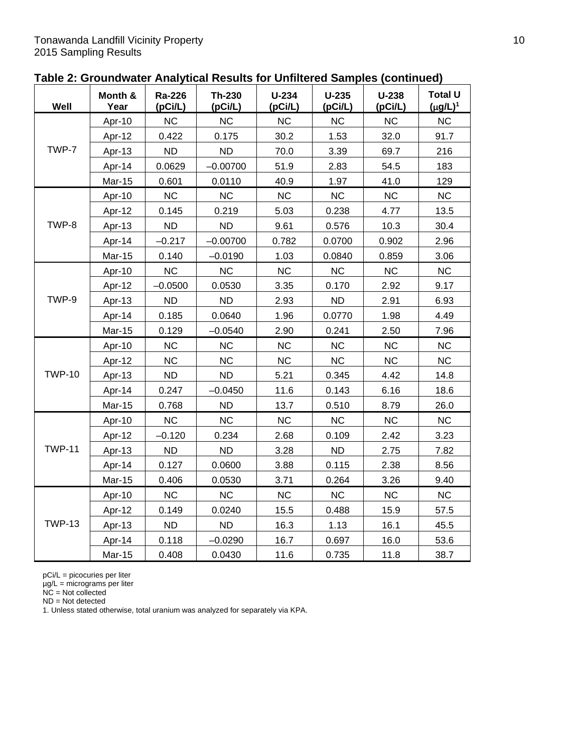|  | Table 2: Groundwater Analytical Results for Unfiltered Samples (continued) |  |  |
|--|----------------------------------------------------------------------------|--|--|
|--|----------------------------------------------------------------------------|--|--|

| Well          | Month &<br>Year | Ra-226<br>(pCi/L) | <b>Th-230</b><br>(pCi/L) | $U-234$<br>(pCi/L) | $U-235$<br>(pCi/L) | $U-238$<br>(pCi/L) | <b>Total U</b><br>$(\mu g/L)^1$ |
|---------------|-----------------|-------------------|--------------------------|--------------------|--------------------|--------------------|---------------------------------|
|               | Apr-10          | <b>NC</b>         | <b>NC</b>                | <b>NC</b>          | <b>NC</b>          | <b>NC</b>          | <b>NC</b>                       |
|               | Apr-12          | 0.422             | 0.175                    | 30.2               | 1.53               | 32.0               | 91.7                            |
| TWP-7         | Apr-13          | <b>ND</b>         | <b>ND</b>                | 70.0               | 3.39               | 69.7               | 216                             |
|               | Apr-14          | 0.0629            | $-0.00700$               | 51.9               | 2.83               | 54.5               | 183                             |
|               | Mar-15          | 0.601             | 0.0110                   | 40.9               | 1.97               | 41.0               | 129                             |
|               | Apr-10          | <b>NC</b>         | <b>NC</b>                | <b>NC</b>          | <b>NC</b>          | <b>NC</b>          | <b>NC</b>                       |
|               | Apr-12          | 0.145             | 0.219                    | 5.03               | 0.238              | 4.77               | 13.5                            |
| TWP-8         | Apr-13          | <b>ND</b>         | <b>ND</b>                | 9.61               | 0.576              | 10.3               | 30.4                            |
|               | Apr-14          | $-0.217$          | $-0.00700$               | 0.782              | 0.0700             | 0.902              | 2.96                            |
|               | Mar-15          | 0.140             | $-0.0190$                | 1.03               | 0.0840             | 0.859              | 3.06                            |
|               | Apr-10          | <b>NC</b>         | <b>NC</b>                | <b>NC</b>          | <b>NC</b>          | <b>NC</b>          | <b>NC</b>                       |
|               | Apr-12          | $-0.0500$         | 0.0530                   | 3.35               | 0.170              | 2.92               | 9.17                            |
| TWP-9         | Apr-13          | <b>ND</b>         | <b>ND</b>                | 2.93               | <b>ND</b>          | 2.91               | 6.93                            |
|               | Apr-14          | 0.185             | 0.0640                   | 1.96               | 0.0770             | 1.98               | 4.49                            |
|               | Mar-15          | 0.129             | $-0.0540$                | 2.90               | 0.241              | 2.50               | 7.96                            |
|               | Apr-10          | <b>NC</b>         | <b>NC</b>                | <b>NC</b>          | <b>NC</b>          | <b>NC</b>          | <b>NC</b>                       |
|               | Apr-12          | <b>NC</b>         | <b>NC</b>                | <b>NC</b>          | <b>NC</b>          | <b>NC</b>          | <b>NC</b>                       |
| <b>TWP-10</b> | Apr-13          | <b>ND</b>         | <b>ND</b>                | 5.21               | 0.345              | 4.42               | 14.8                            |
|               | Apr-14          | 0.247             | $-0.0450$                | 11.6               | 0.143              | 6.16               | 18.6                            |
|               | <b>Mar-15</b>   | 0.768             | <b>ND</b>                | 13.7               | 0.510              | 8.79               | 26.0                            |
|               | Apr-10          | <b>NC</b>         | <b>NC</b>                | <b>NC</b>          | <b>NC</b>          | <b>NC</b>          | <b>NC</b>                       |
|               | Apr-12          | $-0.120$          | 0.234                    | 2.68               | 0.109              | 2.42               | 3.23                            |
| <b>TWP-11</b> | Apr-13          | <b>ND</b>         | <b>ND</b>                | 3.28               | <b>ND</b>          | 2.75               | 7.82                            |
|               | Apr-14          | 0.127             | 0.0600                   | 3.88               | 0.115              | 2.38               | 8.56                            |
|               | Mar-15          | 0.406             | 0.0530                   | 3.71               | 0.264              | 3.26               | 9.40                            |
|               | Apr-10          | <b>NC</b>         | <b>NC</b>                | <b>NC</b>          | <b>NC</b>          | <b>NC</b>          | <b>NC</b>                       |
|               | Apr-12          | 0.149             | 0.0240                   | 15.5               | 0.488              | 15.9               | 57.5                            |
| <b>TWP-13</b> | Apr-13          | <b>ND</b>         | <b>ND</b>                | 16.3               | 1.13               | 16.1               | 45.5                            |
|               | Apr-14          | 0.118             | $-0.0290$                | 16.7               | 0.697              | 16.0               | 53.6                            |
|               | Mar-15          | 0.408             | 0.0430                   | 11.6               | 0.735              | 11.8               | 38.7                            |

µg/L = micrograms per liter

NC = Not collected

ND = Not detected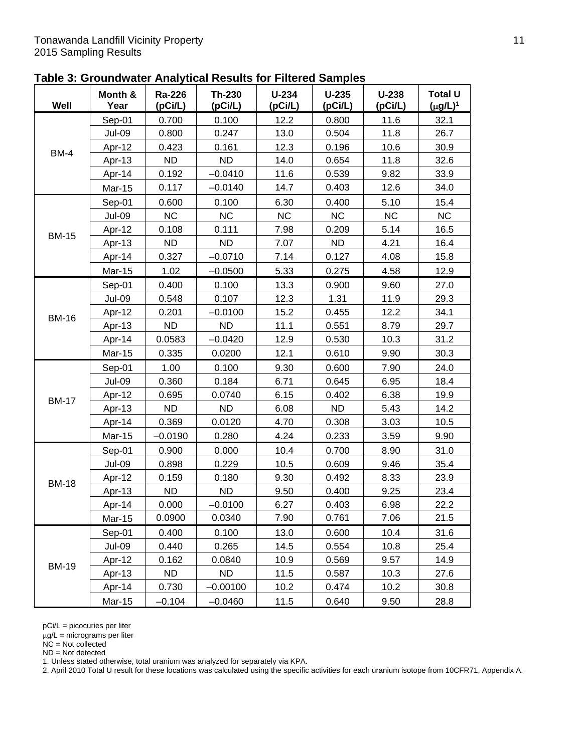| Table 3: Groundwater Analytical Results for Filtered Samples |  |  |  |  |
|--------------------------------------------------------------|--|--|--|--|
|--------------------------------------------------------------|--|--|--|--|

| Well         | Month &<br>Year | Ra-226<br>(pCi/L) | Th-230<br>(pCi/L) | $U-234$<br>(pCi/L) | $U-235$<br>(pCi/L) | $U-238$<br>(pCi/L) | <b>Total U</b><br>$(\mu g/L)^1$ |
|--------------|-----------------|-------------------|-------------------|--------------------|--------------------|--------------------|---------------------------------|
|              | Sep-01          | 0.700             | 0.100             | 12.2               | 0.800              | 11.6               | 32.1                            |
|              | <b>Jul-09</b>   | 0.800             | 0.247             | 13.0               | 0.504              | 11.8               | 26.7                            |
|              | Apr-12          | 0.423             | 0.161             | 12.3               | 0.196              | 10.6               | 30.9                            |
| <b>BM-4</b>  | Apr-13          | <b>ND</b>         | <b>ND</b>         | 14.0               | 0.654              | 11.8               | 32.6                            |
|              | Apr-14          | 0.192             | $-0.0410$         | 11.6               | 0.539              | 9.82               | 33.9                            |
|              | <b>Mar-15</b>   | 0.117             | $-0.0140$         | 14.7               | 0.403              | 12.6               | 34.0                            |
|              | Sep-01          | 0.600             | 0.100             | 6.30               | 0.400              | 5.10               | 15.4                            |
|              | <b>Jul-09</b>   | <b>NC</b>         | <b>NC</b>         | NC                 | <b>NC</b>          | <b>NC</b>          | NC                              |
| <b>BM-15</b> | Apr-12          | 0.108             | 0.111             | 7.98               | 0.209              | 5.14               | 16.5                            |
|              | Apr-13          | <b>ND</b>         | <b>ND</b>         | 7.07               | <b>ND</b>          | 4.21               | 16.4                            |
|              | Apr-14          | 0.327             | $-0.0710$         | 7.14               | 0.127              | 4.08               | 15.8                            |
|              | Mar-15          | 1.02              | $-0.0500$         | 5.33               | 0.275              | 4.58               | 12.9                            |
|              | Sep-01          | 0.400             | 0.100             | 13.3               | 0.900              | 9.60               | 27.0                            |
|              | <b>Jul-09</b>   | 0.548             | 0.107             | 12.3               | 1.31               | 11.9               | 29.3                            |
|              | Apr-12          | 0.201             | $-0.0100$         | 15.2               | 0.455              | 12.2               | 34.1                            |
| <b>BM-16</b> | Apr-13          | <b>ND</b>         | <b>ND</b>         | 11.1               | 0.551              | 8.79               | 29.7                            |
|              | Apr-14          | 0.0583            | $-0.0420$         | 12.9               | 0.530              | 10.3               | 31.2                            |
|              | Mar-15          | 0.335             | 0.0200            | 12.1               | 0.610              | 9.90               | 30.3                            |
|              | Sep-01          | 1.00              | 0.100             | 9.30               | 0.600              | 7.90               | 24.0                            |
|              | <b>Jul-09</b>   | 0.360             | 0.184             | 6.71               | 0.645              | 6.95               | 18.4                            |
|              | Apr-12          | 0.695             | 0.0740            | 6.15               | 0.402              | 6.38               | 19.9                            |
| <b>BM-17</b> | Apr-13          | <b>ND</b>         | <b>ND</b>         | 6.08               | <b>ND</b>          | 5.43               | 14.2                            |
|              | Apr-14          | 0.369             | 0.0120            | 4.70               | 0.308              | 3.03               | 10.5                            |
|              | <b>Mar-15</b>   | $-0.0190$         | 0.280             | 4.24               | 0.233              | 3.59               | 9.90                            |
|              | Sep-01          | 0.900             | 0.000             | 10.4               | 0.700              | 8.90               | 31.0                            |
|              | <b>Jul-09</b>   | 0.898             | 0.229             | 10.5               | 0.609              | 9.46               | 35.4                            |
| <b>BM-18</b> | Apr-12          | 0.159             | 0.180             | 9.30               | 0.492              | 8.33               | 23.9                            |
|              | Apr-13          | <b>ND</b>         | <b>ND</b>         | 9.50               | 0.400              | 9.25               | 23.4                            |
|              | Apr-14          | 0.000             | $-0.0100$         | 6.27               | 0.403              | 6.98               | 22.2                            |
|              | Mar-15          | 0.0900            | 0.0340            | 7.90               | 0.761              | 7.06               | 21.5                            |
|              | Sep-01          | 0.400             | 0.100             | 13.0               | 0.600              | 10.4               | 31.6                            |
|              | Jul-09          | 0.440             | 0.265             | 14.5               | 0.554              | 10.8               | 25.4                            |
|              | Apr-12          | 0.162             | 0.0840            | 10.9               | 0.569              | 9.57               | 14.9                            |
| <b>BM-19</b> | Apr-13          | ND.               | ND.               | 11.5               | 0.587              | 10.3               | 27.6                            |
|              | Apr-14          | 0.730             | $-0.00100$        | 10.2               | 0.474              | 10.2               | 30.8                            |
|              | Mar-15          | $-0.104$          | $-0.0460$         | 11.5               | 0.640              | 9.50               | 28.8                            |

 $\mu$ g/L = micrograms per liter

NC = Not collected

ND = Not detected

1. Unless stated otherwise, total uranium was analyzed for separately via KPA.

2. April 2010 Total U result for these locations was calculated using the specific activities for each uranium isotope from 10CFR71, Appendix A.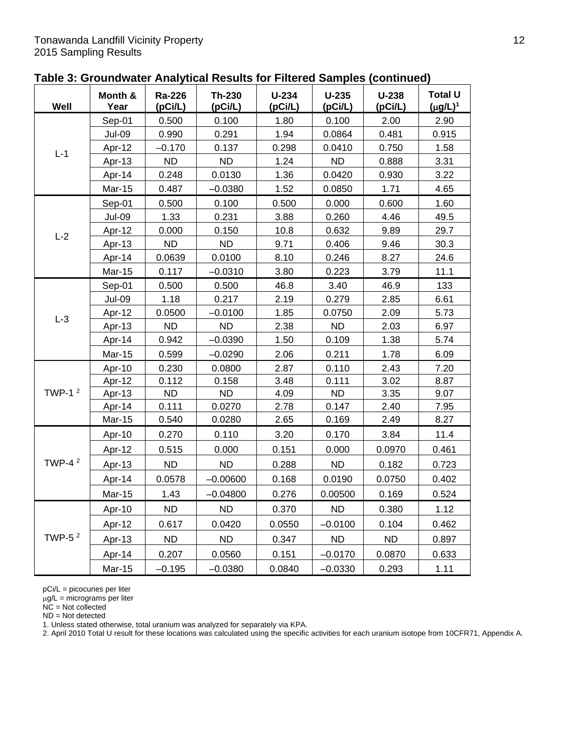| Table 3: Groundwater Analytical Results for Filtered Samples (continued) |  |  |  |  |  |  |
|--------------------------------------------------------------------------|--|--|--|--|--|--|
|--------------------------------------------------------------------------|--|--|--|--|--|--|

| Well      | Month &<br>Year | Ra-226<br>(pCi/L) | <b>Th-230</b><br>(pCi/L) | $U-234$<br>(pCi/L) | $U-235$<br>(pCi/L) | $U-238$<br>(pCi/L) | <b>Total U</b><br>$(\mu g/L)^1$ |
|-----------|-----------------|-------------------|--------------------------|--------------------|--------------------|--------------------|---------------------------------|
|           | Sep-01          | 0.500             | 0.100                    | 1.80               | 0.100              | 2.00               | 2.90                            |
|           | <b>Jul-09</b>   | 0.990             | 0.291                    | 1.94               | 0.0864             | 0.481              | 0.915                           |
|           | Apr-12          | $-0.170$          | 0.137                    | 0.298              | 0.0410             | 0.750              | 1.58                            |
| $L-1$     | Apr-13          | <b>ND</b>         | <b>ND</b>                | 1.24               | <b>ND</b>          | 0.888              | 3.31                            |
|           | Apr-14          | 0.248             | 0.0130                   | 1.36               | 0.0420             | 0.930              | 3.22                            |
|           | <b>Mar-15</b>   | 0.487             | $-0.0380$                | 1.52               | 0.0850             | 1.71               | 4.65                            |
|           | Sep-01          | 0.500             | 0.100                    | 0.500              | 0.000              | 0.600              | 1.60                            |
|           | <b>Jul-09</b>   | 1.33              | 0.231                    | 3.88               | 0.260              | 4.46               | 49.5                            |
|           | Apr-12          | 0.000             | 0.150                    | 10.8               | 0.632              | 9.89               | 29.7                            |
| $L-2$     | Apr-13          | <b>ND</b>         | <b>ND</b>                | 9.71               | 0.406              | 9.46               | 30.3                            |
|           | Apr-14          | 0.0639            | 0.0100                   | 8.10               | 0.246              | 8.27               | 24.6                            |
|           | Mar-15          | 0.117             | $-0.0310$                | 3.80               | 0.223              | 3.79               | 11.1                            |
|           | Sep-01          | 0.500             | 0.500                    | 46.8               | 3.40               | 46.9               | 133                             |
|           | <b>Jul-09</b>   | 1.18              | 0.217                    | 2.19               | 0.279              | 2.85               | 6.61                            |
|           | Apr-12          | 0.0500            | $-0.0100$                | 1.85               | 0.0750             | 2.09               | 5.73                            |
| $L-3$     | Apr-13          | <b>ND</b>         | <b>ND</b>                | 2.38               | <b>ND</b>          | 2.03               | 6.97                            |
|           | Apr-14          | 0.942             | $-0.0390$                | 1.50               | 0.109              | 1.38               | 5.74                            |
|           | Mar-15          | 0.599             | $-0.0290$                | 2.06               | 0.211              | 1.78               | 6.09                            |
|           | Apr-10          | 0.230             | 0.0800                   | 2.87               | 0.110              | 2.43               | 7.20                            |
|           | Apr-12          | 0.112             | 0.158                    | 3.48               | 0.111              | 3.02               | 8.87                            |
| TWP-1 $2$ | Apr-13          | <b>ND</b>         | <b>ND</b>                | 4.09               | <b>ND</b>          | 3.35               | 9.07                            |
|           | Apr-14          | 0.111             | 0.0270                   | 2.78               | 0.147              | 2.40               | 7.95                            |
|           | <b>Mar-15</b>   | 0.540             | 0.0280                   | 2.65               | 0.169              | 2.49               | 8.27                            |
|           | Apr-10          | 0.270             | 0.110                    | 3.20               | 0.170              | 3.84               | 11.4                            |
|           | Apr-12          | 0.515             | 0.000                    | 0.151              | 0.000              | 0.0970             | 0.461                           |
| TWP-4 $2$ | Apr-13          | ND                | <b>ND</b>                | 0.288              | <b>ND</b>          | 0.182              | 0.723                           |
|           | Apr-14          | 0.0578            | $-0.00600$               | 0.168              | 0.0190             | 0.0750             | 0.402                           |
|           | Mar-15          | 1.43              | $-0.04800$               | 0.276              | 0.00500            | 0.169              | 0.524                           |
|           | Apr-10          | <b>ND</b>         | <b>ND</b>                | 0.370              | <b>ND</b>          | 0.380              | 1.12                            |
|           | Apr-12          | 0.617             | 0.0420                   | 0.0550             | $-0.0100$          | 0.104              | 0.462                           |
| TWP-5 $2$ | Apr-13          | <b>ND</b>         | <b>ND</b>                | 0.347              | <b>ND</b>          | <b>ND</b>          | 0.897                           |
|           | Apr-14          | 0.207             | 0.0560                   | 0.151              | $-0.0170$          | 0.0870             | 0.633                           |
|           | Mar-15          | $-0.195$          | $-0.0380$                | 0.0840             | $-0.0330$          | 0.293              | 1.11                            |

μg/L = micrograms per liter

NC = Not collected

ND = Not detected

1. Unless stated otherwise, total uranium was analyzed for separately via KPA.

2. April 2010 Total U result for these locations was calculated using the specific activities for each uranium isotope from 10CFR71, Appendix A.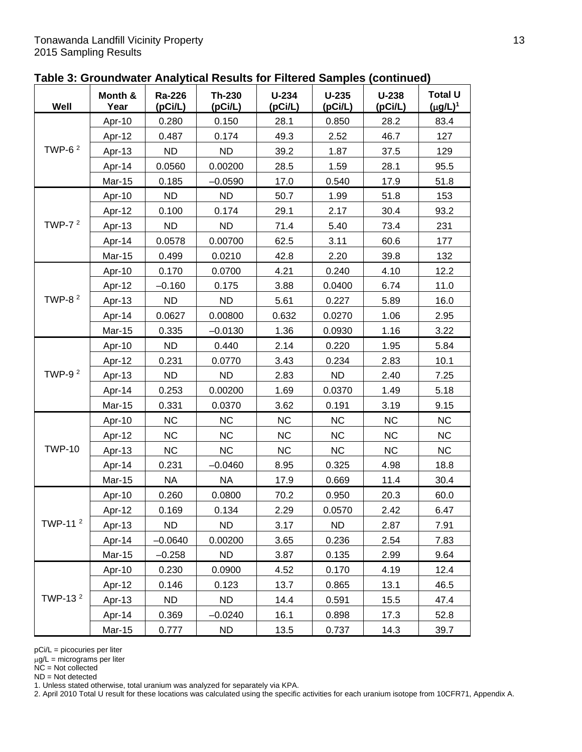| Table 3: Groundwater Analytical Results for Filtered Samples (continued) |  |  |
|--------------------------------------------------------------------------|--|--|
|--------------------------------------------------------------------------|--|--|

| Well                | Month &<br>Year | Ra-226<br>(pCi/L) | Th-230<br>(pCi/L) | $U-234$<br>(pCi/L) | $U-235$<br>(pCi/L) | $U-238$<br>(pCi/L) | <b>Total U</b><br>$(\mu g/L)^1$ |
|---------------------|-----------------|-------------------|-------------------|--------------------|--------------------|--------------------|---------------------------------|
| TWP-6 $2$           | Apr-10          | 0.280             | 0.150             | 28.1               | 0.850              | 28.2               | 83.4                            |
|                     | Apr-12          | 0.487             | 0.174             | 49.3               | 2.52               | 46.7               | 127                             |
|                     | Apr-13          | <b>ND</b>         | <b>ND</b>         | 39.2               | 1.87               | 37.5               | 129                             |
|                     | Apr-14          | 0.0560            | 0.00200           | 28.5               | 1.59               | 28.1               | 95.5                            |
|                     | Mar-15          | 0.185             | $-0.0590$         | 17.0               | 0.540              | 17.9               | 51.8                            |
|                     | Apr-10          | <b>ND</b>         | <b>ND</b>         | 50.7               | 1.99               | 51.8               | 153                             |
|                     | Apr-12          | 0.100             | 0.174             | 29.1               | 2.17               | 30.4               | 93.2                            |
| TWP-7 $2$           | Apr-13          | <b>ND</b>         | <b>ND</b>         | 71.4               | 5.40               | 73.4               | 231                             |
|                     | Apr-14          | 0.0578            | 0.00700           | 62.5               | 3.11               | 60.6               | 177                             |
|                     | <b>Mar-15</b>   | 0.499             | 0.0210            | 42.8               | 2.20               | 39.8               | 132                             |
|                     | Apr-10          | 0.170             | 0.0700            | 4.21               | 0.240              | 4.10               | 12.2                            |
|                     | Apr-12          | $-0.160$          | 0.175             | 3.88               | 0.0400             | 6.74               | 11.0                            |
| TWP-8 $2$           | Apr-13          | <b>ND</b>         | <b>ND</b>         | 5.61               | 0.227              | 5.89               | 16.0                            |
|                     | Apr-14          | 0.0627            | 0.00800           | 0.632              | 0.0270             | 1.06               | 2.95                            |
|                     | Mar-15          | 0.335             | $-0.0130$         | 1.36               | 0.0930             | 1.16               | 3.22                            |
|                     | Apr-10          | <b>ND</b>         | 0.440             | 2.14               | 0.220              | 1.95               | 5.84                            |
| TWP-9 $2$           | Apr-12          | 0.231             | 0.0770            | 3.43               | 0.234              | 2.83               | 10.1                            |
|                     | Apr-13          | <b>ND</b>         | <b>ND</b>         | 2.83               | <b>ND</b>          | 2.40               | 7.25                            |
|                     | Apr-14          | 0.253             | 0.00200           | 1.69               | 0.0370             | 1.49               | 5.18                            |
|                     | Mar-15          | 0.331             | 0.0370            | 3.62               | 0.191              | 3.19               | 9.15                            |
| <b>TWP-10</b>       | Apr-10          | <b>NC</b>         | <b>NC</b>         | <b>NC</b>          | <b>NC</b>          | <b>NC</b>          | <b>NC</b>                       |
|                     | Apr-12          | <b>NC</b>         | <b>NC</b>         | <b>NC</b>          | <b>NC</b>          | <b>NC</b>          | <b>NC</b>                       |
|                     | Apr-13          | <b>NC</b>         | <b>NC</b>         | <b>NC</b>          | <b>NC</b>          | <b>NC</b>          | <b>NC</b>                       |
|                     | Apr-14          | 0.231             | $-0.0460$         | 8.95               | 0.325              | 4.98               | 18.8                            |
|                     | <b>Mar-15</b>   | <b>NA</b>         | <b>NA</b>         | 17.9               | 0.669              | 11.4               | 30.4                            |
| TWP-11 <sup>2</sup> | Apr-10          | 0.260             | 0.0800            | 70.2               | 0.950              | 20.3               | 60.0                            |
|                     | Apr-12          | 0.169             | 0.134             | 2.29               | 0.0570             | 2.42               | 6.47                            |
|                     | Apr-13          | <b>ND</b>         | <b>ND</b>         | 3.17               | <b>ND</b>          | 2.87               | 7.91                            |
|                     | Apr-14          | $-0.0640$         | 0.00200           | 3.65               | 0.236              | 2.54               | 7.83                            |
|                     | Mar-15          | $-0.258$          | <b>ND</b>         | 3.87               | 0.135              | 2.99               | 9.64                            |
|                     | Apr-10          | 0.230             | 0.0900            | 4.52               | 0.170              | 4.19               | 12.4                            |
|                     | Apr-12          | 0.146             | 0.123             | 13.7               | 0.865              | 13.1               | 46.5                            |
| TWP-13 <sup>2</sup> | Apr-13          | ND.               | ND.               | 14.4               | 0.591              | 15.5               | 47.4                            |
|                     | Apr-14          | 0.369             | $-0.0240$         | 16.1               | 0.898              | 17.3               | 52.8                            |
|                     | Mar-15          | 0.777             | ND                | 13.5               | 0.737              | 14.3               | 39.7                            |

 $\mu$ g/L = micrograms per liter

 $NC = Not$  collected

ND = Not detected

1. Unless stated otherwise, total uranium was analyzed for separately via KPA.

2. April 2010 Total U result for these locations was calculated using the specific activities for each uranium isotope from 10CFR71, Appendix A.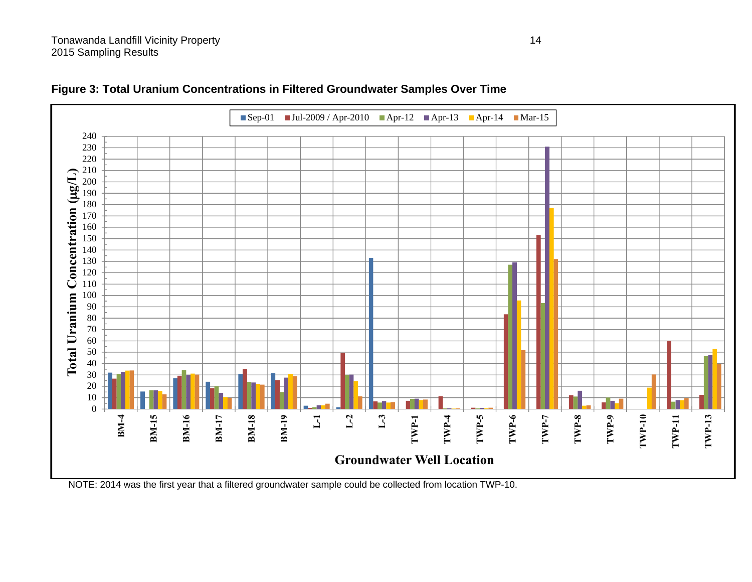

**Figure 3: Total Uranium Concentrations in Filtered Groundwater Samples Over Time** 

NOTE: 2014 was the first year that a filtered groundwater sample could be collected from location TWP-10.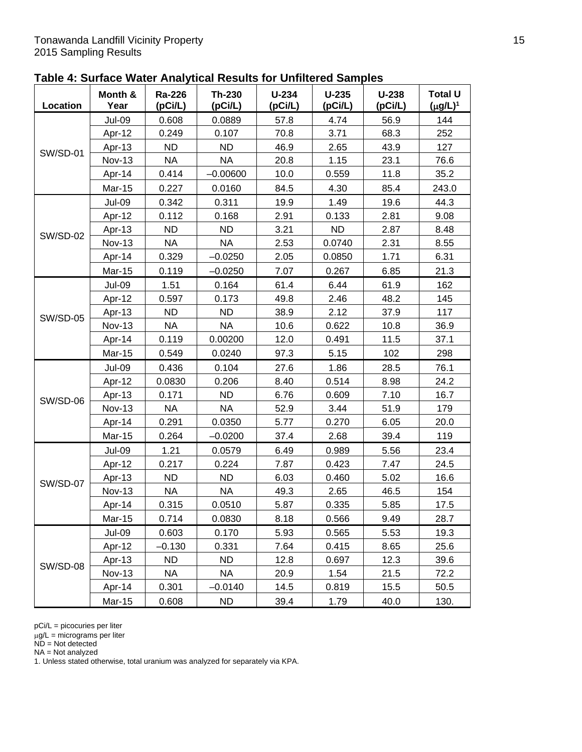| Table 4: Surface Water Analytical Results for Unfiltered Samples |  |  |
|------------------------------------------------------------------|--|--|
|------------------------------------------------------------------|--|--|

| Location        | Month &<br>Year | Ra-226<br>(pCi/L) | Th-230<br>(pCi/L) | $U-234$<br>(pCi/L) | $U-235$<br>(pCi/L) | $U-238$<br>(pCi/L) | <b>Total U</b><br>$(\mu g/L)^1$ |
|-----------------|-----------------|-------------------|-------------------|--------------------|--------------------|--------------------|---------------------------------|
|                 | <b>Jul-09</b>   | 0.608             | 0.0889            | 57.8               | 4.74               | 56.9               | 144                             |
|                 | Apr-12          | 0.249             | 0.107             | 70.8               | 3.71               | 68.3               | 252                             |
|                 | Apr-13          | <b>ND</b>         | <b>ND</b>         | 46.9               | 2.65               | 43.9               | 127                             |
| <b>SW/SD-01</b> | <b>Nov-13</b>   | <b>NA</b>         | <b>NA</b>         | 20.8               | 1.15               | 23.1               | 76.6                            |
|                 | Apr-14          | 0.414             | $-0.00600$        | 10.0               | 0.559              | 11.8               | 35.2                            |
|                 | Mar-15          | 0.227             | 0.0160            | 84.5               | 4.30               | 85.4               | 243.0                           |
|                 | <b>Jul-09</b>   | 0.342             | 0.311             | 19.9               | 1.49               | 19.6               | 44.3                            |
|                 | Apr-12          | 0.112             | 0.168             | 2.91               | 0.133              | 2.81               | 9.08                            |
|                 | Apr-13          | <b>ND</b>         | <b>ND</b>         | 3.21               | <b>ND</b>          | 2.87               | 8.48                            |
| <b>SW/SD-02</b> | <b>Nov-13</b>   | <b>NA</b>         | <b>NA</b>         | 2.53               | 0.0740             | 2.31               | 8.55                            |
|                 | Apr-14          | 0.329             | $-0.0250$         | 2.05               | 0.0850             | 1.71               | 6.31                            |
|                 | Mar-15          | 0.119             | $-0.0250$         | 7.07               | 0.267              | 6.85               | 21.3                            |
|                 | <b>Jul-09</b>   | 1.51              | 0.164             | 61.4               | 6.44               | 61.9               | 162                             |
|                 | Apr-12          | 0.597             | 0.173             | 49.8               | 2.46               | 48.2               | 145                             |
|                 | Apr-13          | <b>ND</b>         | <b>ND</b>         | 38.9               | 2.12               | 37.9               | 117                             |
| <b>SW/SD-05</b> | <b>Nov-13</b>   | <b>NA</b>         | <b>NA</b>         | 10.6               | 0.622              | 10.8               | 36.9                            |
|                 | Apr-14          | 0.119             | 0.00200           | 12.0               | 0.491              | 11.5               | 37.1                            |
|                 | Mar-15          | 0.549             | 0.0240            | 97.3               | 5.15               | 102                | 298                             |
|                 | <b>Jul-09</b>   | 0.436             | 0.104             | 27.6               | 1.86               | 28.5               | 76.1                            |
|                 | Apr-12          | 0.0830            | 0.206             | 8.40               | 0.514              | 8.98               | 24.2                            |
| <b>SW/SD-06</b> | Apr-13          | 0.171             | <b>ND</b>         | 6.76               | 0.609              | 7.10               | 16.7                            |
|                 | <b>Nov-13</b>   | <b>NA</b>         | <b>NA</b>         | 52.9               | 3.44               | 51.9               | 179                             |
|                 | Apr-14          | 0.291             | 0.0350            | 5.77               | 0.270              | 6.05               | 20.0                            |
|                 | <b>Mar-15</b>   | 0.264             | $-0.0200$         | 37.4               | 2.68               | 39.4               | 119                             |
|                 | <b>Jul-09</b>   | 1.21              | 0.0579            | 6.49               | 0.989              | 5.56               | 23.4                            |
|                 | Apr-12          | 0.217             | 0.224             | 7.87               | 0.423              | 7.47               | 24.5                            |
| <b>SW/SD-07</b> | Apr-13          | <b>ND</b>         | <b>ND</b>         | 6.03               | 0.460              | 5.02               | 16.6                            |
|                 | <b>Nov-13</b>   | <b>NA</b>         | <b>NA</b>         | 49.3               | 2.65               | 46.5               | 154                             |
|                 | Apr-14          | 0.315             | 0.0510            | 5.87               | 0.335              | 5.85               | 17.5                            |
|                 | <b>Mar-15</b>   | 0.714             | 0.0830            | 8.18               | 0.566              | 9.49               | 28.7                            |
|                 | <b>Jul-09</b>   | 0.603             | 0.170             | 5.93               | 0.565              | 5.53               | 19.3                            |
|                 | Apr-12          | $-0.130$          | 0.331             | 7.64               | 0.415              | 8.65               | 25.6                            |
|                 | Apr-13          | <b>ND</b>         | ND.               | 12.8               | 0.697              | 12.3               | 39.6                            |
| <b>SW/SD-08</b> | <b>Nov-13</b>   | <b>NA</b>         | NA                | 20.9               | 1.54               | 21.5               | 72.2                            |
|                 | Apr-14          | 0.301             | $-0.0140$         | 14.5               | 0.819              | 15.5               | 50.5                            |
|                 | <b>Mar-15</b>   | 0.608             | <b>ND</b>         | 39.4               | 1.79               | 40.0               | 130.                            |

μg/L = micrograms per liter

ND = Not detected

NA = Not analyzed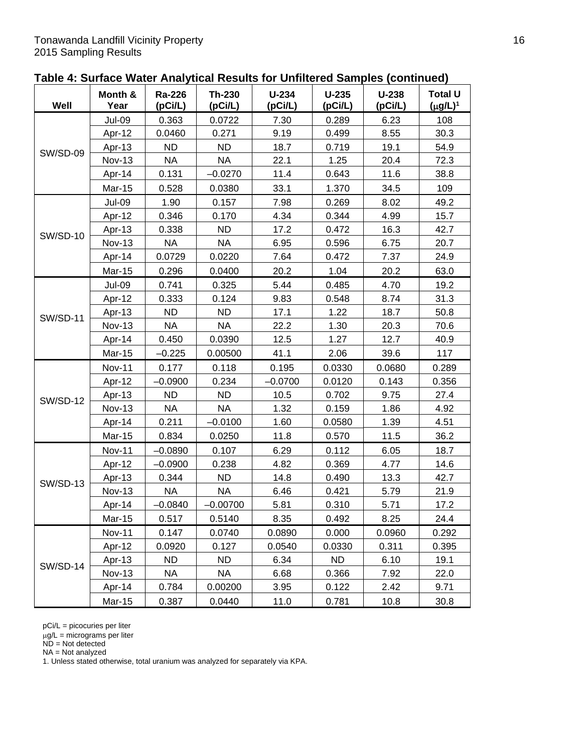| Table 4: Surface Water Analytical Results for Unfiltered Samples (continued) |
|------------------------------------------------------------------------------|
|------------------------------------------------------------------------------|

| Well            | Month &<br>Year | Ra-226<br>(pCi/L) | Th-230<br>(pCi/L) | $U-234$<br>(pCi/L) | $U-235$<br>(pCi/L) | $U-238$<br>(pCi/L) | <b>Total U</b><br>$(\mu g/L)^1$ |
|-----------------|-----------------|-------------------|-------------------|--------------------|--------------------|--------------------|---------------------------------|
| <b>SW/SD-09</b> | <b>Jul-09</b>   | 0.363             | 0.0722            | 7.30               | 0.289              | 6.23               | 108                             |
|                 | Apr-12          | 0.0460            | 0.271             | 9.19               | 0.499              | 8.55               | 30.3                            |
|                 | Apr-13          | <b>ND</b>         | <b>ND</b>         | 18.7               | 0.719              | 19.1               | 54.9                            |
|                 | <b>Nov-13</b>   | <b>NA</b>         | <b>NA</b>         | 22.1               | 1.25               | 20.4               | 72.3                            |
|                 | Apr-14          | 0.131             | $-0.0270$         | 11.4               | 0.643              | 11.6               | 38.8                            |
|                 | <b>Mar-15</b>   | 0.528             | 0.0380            | 33.1               | 1.370              | 34.5               | 109                             |
|                 | <b>Jul-09</b>   | 1.90              | 0.157             | 7.98               | 0.269              | 8.02               | 49.2                            |
|                 | Apr-12          | 0.346             | 0.170             | 4.34               | 0.344              | 4.99               | 15.7                            |
| <b>SW/SD-10</b> | Apr-13          | 0.338             | <b>ND</b>         | 17.2               | 0.472              | 16.3               | 42.7                            |
|                 | <b>Nov-13</b>   | <b>NA</b>         | <b>NA</b>         | 6.95               | 0.596              | 6.75               | 20.7                            |
|                 | Apr-14          | 0.0729            | 0.0220            | 7.64               | 0.472              | 7.37               | 24.9                            |
|                 | Mar-15          | 0.296             | 0.0400            | 20.2               | 1.04               | 20.2               | 63.0                            |
|                 | <b>Jul-09</b>   | 0.741             | 0.325             | 5.44               | 0.485              | 4.70               | 19.2                            |
|                 | Apr-12          | 0.333             | 0.124             | 9.83               | 0.548              | 8.74               | 31.3                            |
| <b>SW/SD-11</b> | Apr-13          | <b>ND</b>         | <b>ND</b>         | 17.1               | 1.22               | 18.7               | 50.8                            |
|                 | <b>Nov-13</b>   | <b>NA</b>         | <b>NA</b>         | 22.2               | 1.30               | 20.3               | 70.6                            |
|                 | Apr-14          | 0.450             | 0.0390            | 12.5               | 1.27               | 12.7               | 40.9                            |
|                 | Mar-15          | $-0.225$          | 0.00500           | 41.1               | 2.06               | 39.6               | 117                             |
|                 | <b>Nov-11</b>   | 0.177             | 0.118             | 0.195              | 0.0330             | 0.0680             | 0.289                           |
|                 | Apr-12          | $-0.0900$         | 0.234             | $-0.0700$          | 0.0120             | 0.143              | 0.356                           |
| <b>SW/SD-12</b> | Apr-13          | <b>ND</b>         | <b>ND</b>         | 10.5               | 0.702              | 9.75               | 27.4                            |
|                 | <b>Nov-13</b>   | <b>NA</b>         | <b>NA</b>         | 1.32               | 0.159              | 1.86               | 4.92                            |
|                 | Apr-14          | 0.211             | $-0.0100$         | 1.60               | 0.0580             | 1.39               | 4.51                            |
|                 | Mar-15          | 0.834             | 0.0250            | 11.8               | 0.570              | 11.5               | 36.2                            |
|                 | <b>Nov-11</b>   | $-0.0890$         | 0.107             | 6.29               | 0.112              | 6.05               | 18.7                            |
|                 | Apr-12          | $-0.0900$         | 0.238             | 4.82               | 0.369              | 4.77               | 14.6                            |
| <b>SW/SD-13</b> | Apr-13          | 0.344             | <b>ND</b>         | 14.8               | 0.490              | 13.3               | 42.7                            |
|                 | <b>Nov-13</b>   | <b>NA</b>         | <b>NA</b>         | 6.46               | 0.421              | 5.79               | 21.9                            |
|                 | Apr-14          | $-0.0840$         | $-0.00700$        | 5.81               | 0.310              | 5.71               | 17.2                            |
|                 | <b>Mar-15</b>   | 0.517             | 0.5140            | 8.35               | 0.492              | 8.25               | 24.4                            |
|                 | <b>Nov-11</b>   | 0.147             | 0.0740            | 0.0890             | 0.000              | 0.0960             | 0.292                           |
|                 | Apr-12          | 0.0920            | 0.127             | 0.0540             | 0.0330             | 0.311              | 0.395                           |
| <b>SW/SD-14</b> | Apr-13          | ND.               | <b>ND</b>         | 6.34               | <b>ND</b>          | 6.10               | 19.1                            |
|                 | <b>Nov-13</b>   | <b>NA</b>         | <b>NA</b>         | 6.68               | 0.366              | 7.92               | 22.0                            |
|                 | Apr-14          | 0.784             | 0.00200           | 3.95               | 0.122              | 2.42               | 9.71                            |
|                 | <b>Mar-15</b>   | 0.387             | 0.0440            | 11.0               | 0.781              | 10.8               | 30.8                            |

μg/L = micrograms per liter

ND = Not detected

NA = Not analyzed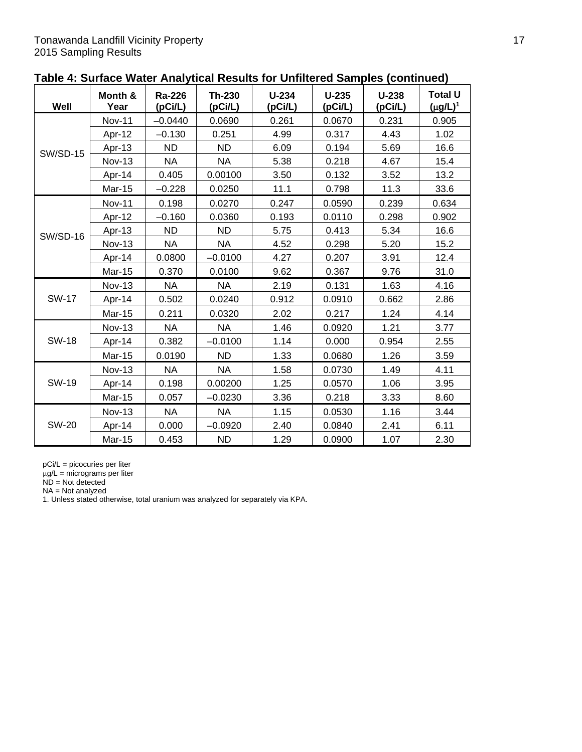|                 | Month &       | <b>Ra-226</b> | <b>Th-230</b> | $U-234$ | $U-235$ | $U-238$ | <b>Total U</b> |
|-----------------|---------------|---------------|---------------|---------|---------|---------|----------------|
| Well            | Year          | (pCi/L)       | (pCi/L)       | (pCi/L) | (pCi/L) | (pCi/L) | $(\mu g/L)^1$  |
|                 | <b>Nov-11</b> | $-0.0440$     | 0.0690        | 0.261   | 0.0670  | 0.231   | 0.905          |
|                 | Apr-12        | $-0.130$      | 0.251         | 4.99    | 0.317   | 4.43    | 1.02           |
| <b>SW/SD-15</b> | Apr-13        | <b>ND</b>     | <b>ND</b>     | 6.09    | 0.194   | 5.69    | 16.6           |
|                 | <b>Nov-13</b> | <b>NA</b>     | <b>NA</b>     | 5.38    | 0.218   | 4.67    | 15.4           |
|                 | Apr-14        | 0.405         | 0.00100       | 3.50    | 0.132   | 3.52    | 13.2           |
|                 | Mar-15        | $-0.228$      | 0.0250        | 11.1    | 0.798   | 11.3    | 33.6           |
|                 | <b>Nov-11</b> | 0.198         | 0.0270        | 0.247   | 0.0590  | 0.239   | 0.634          |
|                 | Apr-12        | $-0.160$      | 0.0360        | 0.193   | 0.0110  | 0.298   | 0.902          |
| <b>SW/SD-16</b> | Apr-13        | <b>ND</b>     | <b>ND</b>     | 5.75    | 0.413   | 5.34    | 16.6           |
|                 | <b>Nov-13</b> | <b>NA</b>     | <b>NA</b>     | 4.52    | 0.298   | 5.20    | 15.2           |
|                 | Apr-14        | 0.0800        | $-0.0100$     | 4.27    | 0.207   | 3.91    | 12.4           |
|                 | Mar-15        | 0.370         | 0.0100        | 9.62    | 0.367   | 9.76    | 31.0           |
|                 | <b>Nov-13</b> | <b>NA</b>     | <b>NA</b>     | 2.19    | 0.131   | 1.63    | 4.16           |
| <b>SW-17</b>    | Apr-14        | 0.502         | 0.0240        | 0.912   | 0.0910  | 0.662   | 2.86           |
|                 | Mar-15        | 0.211         | 0.0320        | 2.02    | 0.217   | 1.24    | 4.14           |
| <b>SW-18</b>    | <b>Nov-13</b> | <b>NA</b>     | <b>NA</b>     | 1.46    | 0.0920  | 1.21    | 3.77           |
|                 | Apr-14        | 0.382         | $-0.0100$     | 1.14    | 0.000   | 0.954   | 2.55           |
|                 | Mar-15        | 0.0190        | <b>ND</b>     | 1.33    | 0.0680  | 1.26    | 3.59           |
| SW-19           | <b>Nov-13</b> | <b>NA</b>     | <b>NA</b>     | 1.58    | 0.0730  | 1.49    | 4.11           |
|                 | Apr-14        | 0.198         | 0.00200       | 1.25    | 0.0570  | 1.06    | 3.95           |
|                 | Mar-15        | 0.057         | $-0.0230$     | 3.36    | 0.218   | 3.33    | 8.60           |
|                 | <b>Nov-13</b> | <b>NA</b>     | <b>NA</b>     | 1.15    | 0.0530  | 1.16    | 3.44           |
| <b>SW-20</b>    | Apr-14        | 0.000         | $-0.0920$     | 2.40    | 0.0840  | 2.41    | 6.11           |
|                 | Mar-15        | 0.453         | <b>ND</b>     | 1.29    | 0.0900  | 1.07    | 2.30           |

# **Table 4: Surface Water Analytical Results for Unfiltered Samples (continued)**

pCi/L = picocuries per liter

 $\mu$ g/L = micrograms per liter

 $ND = Not detected$ 

NA = Not analyzed